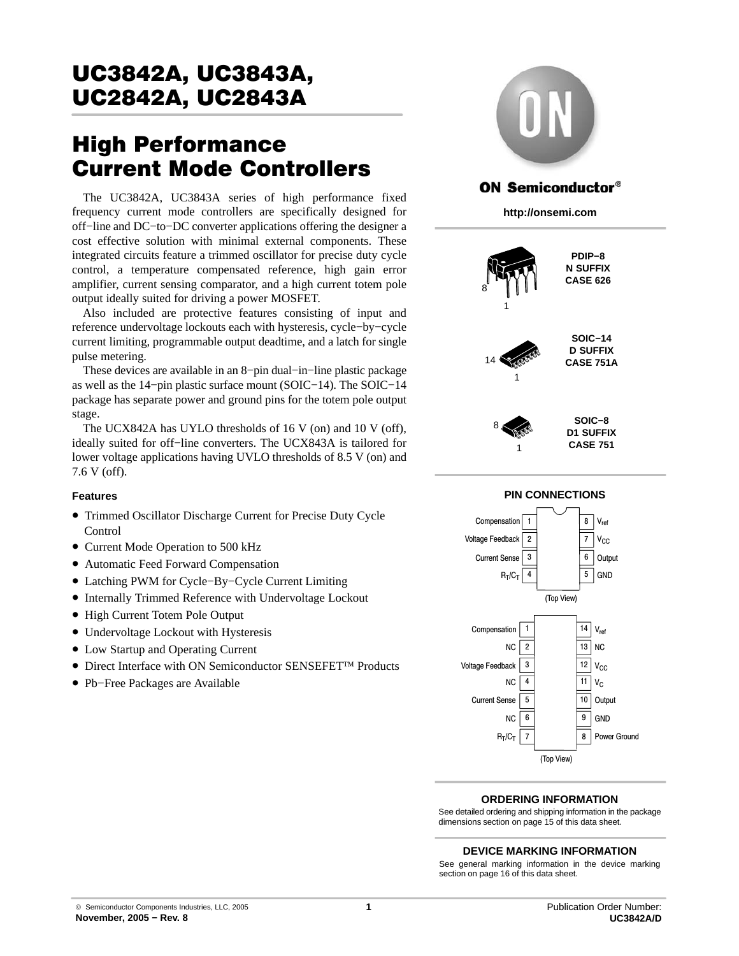# High Performance Current Mode Controllers

The UC3842A, UC3843A series of high performance fixed frequency current mode controllers are specifically designed for off−line and DC−to−DC converter applications offering the designer a cost effective solution with minimal external components. These integrated circuits feature a trimmed oscillator for precise duty cycle control, a temperature compensated reference, high gain error amplifier, current sensing comparator, and a high current totem pole output ideally suited for driving a power MOSFET.

Also included are protective features consisting of input and reference undervoltage lockouts each with hysteresis, cycle−by−cycle current limiting, programmable output deadtime, and a latch for single pulse metering.

These devices are available in an 8−pin dual−in−line plastic package as well as the 14−pin plastic surface mount (SOIC−14). The SOIC−14 package has separate power and ground pins for the totem pole output stage.

The UCX842A has UYLO thresholds of 16 V (on) and 10 V (off), ideally suited for off−line converters. The UCX843A is tailored for lower voltage applications having UVLO thresholds of 8.5 V (on) and 7.6 V (off).

#### **Features**

- Trimmed Oscillator Discharge Current for Precise Duty Cycle Control
- Current Mode Operation to 500 kHz
- Automatic Feed Forward Compensation
- Latching PWM for Cycle−By−Cycle Current Limiting
- Internally Trimmed Reference with Undervoltage Lockout
- High Current Totem Pole Output
- Undervoltage Lockout with Hysteresis
- Low Startup and Operating Current
- Direct Interface with ON Semiconductor SENSEFET™ Products
- Pb−Free Packages are Available



## **ON Semiconductor®**

**http://onsemi.com**



#### **ORDERING INFORMATION**

(Top View)

NC  $R_T/C_T$  6 7

See detailed ordering and shipping information in the package dimensions section on page [15 of this data sheet.](#page-14-0)

#### **DEVICE MARKING INFORMATION**

See general marking information in the device marking section on page [16 of this data sheet.](#page-15-0)

GND

9 8

Power Ground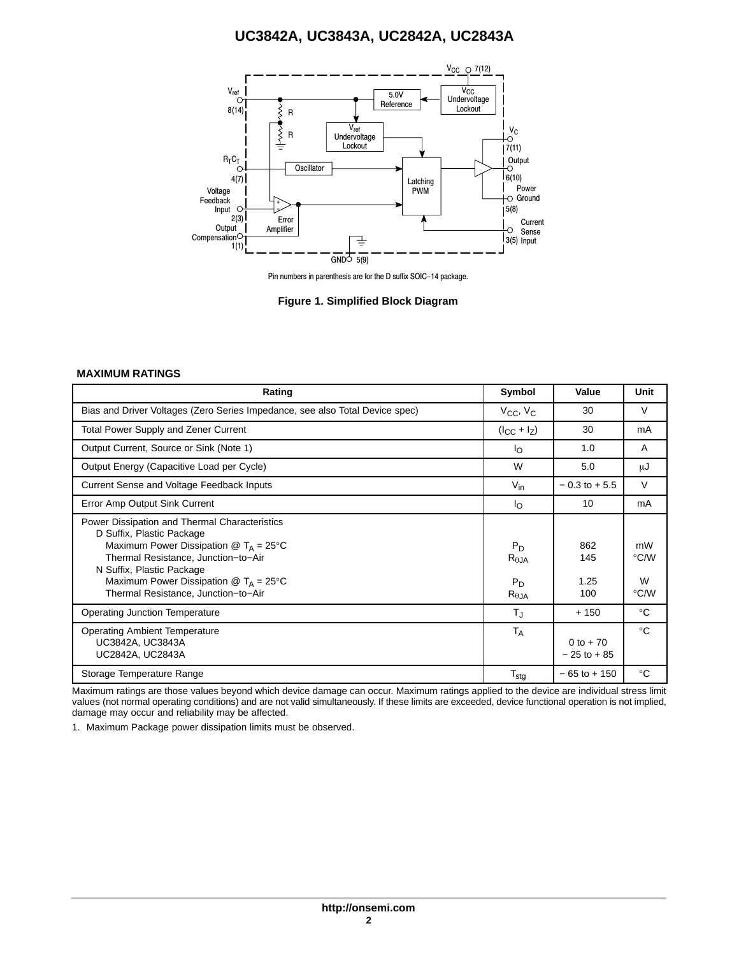

Pin numbers in parenthesis are for the D suffix SOIC−14 package.

**Figure 1. Simplified Block Diagram**

#### **MAXIMUM RATINGS**

| Rating                                                                                                                                                                                                                                                                                                                    | Symbol                                               | Value                         | Unit                    |
|---------------------------------------------------------------------------------------------------------------------------------------------------------------------------------------------------------------------------------------------------------------------------------------------------------------------------|------------------------------------------------------|-------------------------------|-------------------------|
| Bias and Driver Voltages (Zero Series Impedance, see also Total Device spec)                                                                                                                                                                                                                                              | $V_{CC}$ , $V_{C}$                                   | 30                            | $\vee$                  |
| <b>Total Power Supply and Zener Current</b>                                                                                                                                                                                                                                                                               | $(l_{CC} + l_Z)$                                     | 30                            | mA                      |
| Output Current, Source or Sink (Note 1)                                                                                                                                                                                                                                                                                   | <sup>l</sup> o                                       | 1.0                           | A                       |
| Output Energy (Capacitive Load per Cycle)                                                                                                                                                                                                                                                                                 | W                                                    | 5.0                           | μJ                      |
| Current Sense and Voltage Feedback Inputs                                                                                                                                                                                                                                                                                 | $V_{\text{in}}$                                      | $-0.3$ to $+5.5$              | V                       |
| Error Amp Output Sink Current                                                                                                                                                                                                                                                                                             | Ιo                                                   | 10                            | mA                      |
| Power Dissipation and Thermal Characteristics<br>D Suffix, Plastic Package<br>Maximum Power Dissipation $\circledR$ T <sub>A</sub> = 25°C<br>Thermal Resistance, Junction-to-Air<br>N Suffix, Plastic Package<br>Maximum Power Dissipation $\textcircled{2}$ T <sub>A</sub> = 25°C<br>Thermal Resistance, Junction-to-Air | $P_D$<br>$R_{\theta JA}$<br>$P_D$<br>$R_{\theta JA}$ | 862<br>145<br>1.25<br>100     | mW<br>°C/W<br>W<br>°C/W |
| <b>Operating Junction Temperature</b>                                                                                                                                                                                                                                                                                     | T」                                                   | $+150$                        | $^{\circ}C$             |
| <b>Operating Ambient Temperature</b><br>UC3842A, UC3843A<br>UC2842A, UC2843A                                                                                                                                                                                                                                              | $T_A$                                                | $0 to + 70$<br>$-25$ to $+85$ | $^{\circ}$ C            |
| Storage Temperature Range                                                                                                                                                                                                                                                                                                 | $T_{\text{stg}}$                                     | $-65$ to $+150$               | $^{\circ}C$             |

Maximum ratings are those values beyond which device damage can occur. Maximum ratings applied to the device are individual stress limit values (not normal operating conditions) and are not valid simultaneously. If these limits are exceeded, device functional operation is not implied, damage may occur and reliability may be affected.

1. Maximum Package power dissipation limits must be observed.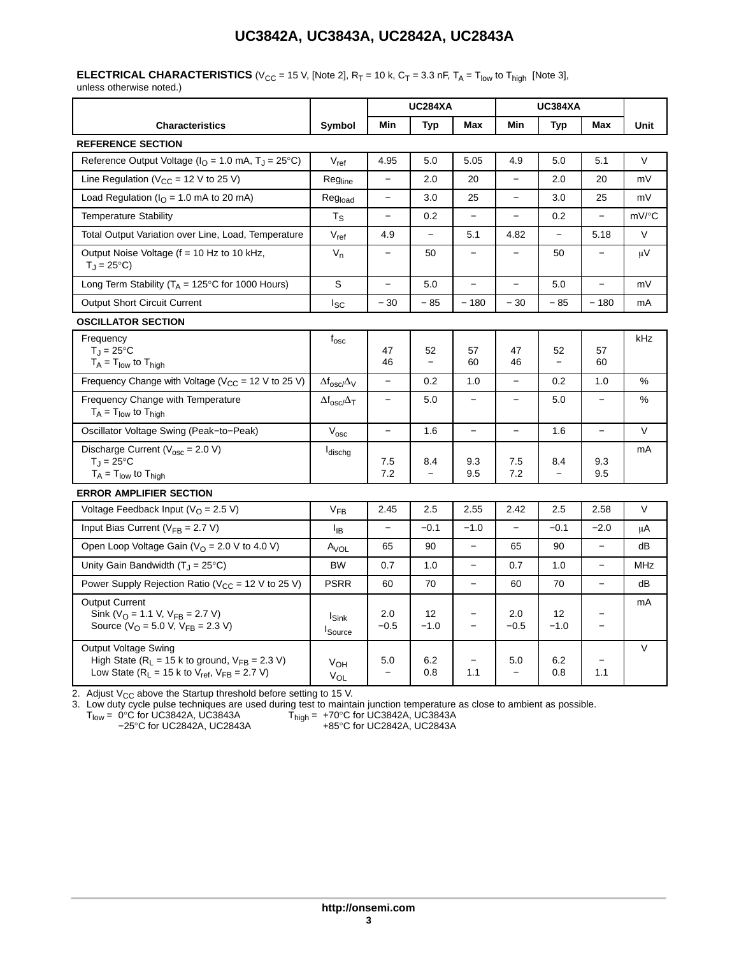## **ELECTRICAL CHARACTERISTICS** (V<sub>CC</sub> = 15 V, [Note 2],  $R_T$  = 10 k,  $C_T$  = 3.3 nF,  $T_A$  =  $T_{low}$  to  $T_{high}$  [Note 3],

unless otherwise noted.)

|                                                                                                                                                    |                                            |                          | <b>UC284XA</b>                 |                                   |                                 | <b>UC384XA</b>                 |                          |            |
|----------------------------------------------------------------------------------------------------------------------------------------------------|--------------------------------------------|--------------------------|--------------------------------|-----------------------------------|---------------------------------|--------------------------------|--------------------------|------------|
| <b>Characteristics</b>                                                                                                                             | Symbol                                     | Min                      | <b>Typ</b>                     | Max                               | Min                             | <b>Typ</b>                     | Max                      | Unit       |
| <b>REFERENCE SECTION</b>                                                                                                                           |                                            |                          |                                |                                   |                                 |                                |                          |            |
| Reference Output Voltage ( $IO = 1.0$ mA, $TJ = 25$ °C)                                                                                            | $V_{ref}$                                  | 4.95                     | 5.0                            | 5.05                              | 4.9                             | 5.0                            | 5.1                      | V          |
| Line Regulation ( $V_{CC}$ = 12 V to 25 V)                                                                                                         | Regline                                    | $\overline{a}$           | 2.0                            | 20                                | $\overline{a}$                  | 2.0                            | 20                       | mV         |
| Load Regulation ( $IO = 1.0$ mA to 20 mA)                                                                                                          | Reg <sub>load</sub>                        | $\overline{\phantom{0}}$ | 3.0                            | 25                                | $\overline{\phantom{0}}$        | 3.0                            | 25                       | mV         |
| <b>Temperature Stability</b>                                                                                                                       | $T_S$                                      | $\qquad \qquad -$        | 0.2                            | $\qquad \qquad -$                 | $\overline{\phantom{0}}$        | 0.2                            |                          | mV/°C      |
| Total Output Variation over Line, Load, Temperature                                                                                                | $V_{ref}$                                  | 4.9                      | $\overline{\phantom{0}}$       | 5.1                               | 4.82                            | $\equiv$                       | 5.18                     | $\vee$     |
| Output Noise Voltage (f = 10 Hz to 10 kHz,<br>$T_{\rm J} = 25^{\circ}\text{C}$                                                                     | $V_n$                                      | $\qquad \qquad -$        | 50                             | $\overline{\phantom{0}}$          | $\qquad \qquad -$               | 50                             |                          | μV         |
| Long Term Stability ( $T_A = 125^{\circ}$ C for 1000 Hours)                                                                                        | S                                          | $\overline{\phantom{0}}$ | 5.0                            | $\equiv$                          | $\overline{\phantom{0}}$        | 5.0                            |                          | mV         |
| <b>Output Short Circuit Current</b>                                                                                                                | <b>I</b> sc                                | $-30$                    | $-85$                          | $-180$                            | $-30$                           | $-85$                          | $-180$                   | mA         |
| <b>OSCILLATOR SECTION</b>                                                                                                                          |                                            |                          |                                |                                   |                                 |                                |                          |            |
| Frequency<br>$T_{\text{J}} = 25^{\circ}C$<br>$T_A = T_{low}$ to $T_{high}$                                                                         | $f_{\rm osc}$                              | 47<br>46                 | 52<br>$\overline{\phantom{0}}$ | 57<br>60                          | 47<br>46                        | 52<br>$\overline{\phantom{0}}$ | 57<br>60                 | kHz        |
| Frequency Change with Voltage ( $V_{CC}$ = 12 V to 25 V)                                                                                           | $\Delta f_{\rm osc}/\Delta_V$              | $\overline{\phantom{0}}$ | 0.2                            | 1.0                               | $\overline{\phantom{0}}$        | 0.2                            | 1.0                      | %          |
| Frequency Change with Temperature<br>$T_A = T_{low}$ to $T_{high}$                                                                                 | $\Delta f_{\rm osc}/\Delta_T$              | $\overline{\phantom{0}}$ | 5.0                            | $\qquad \qquad -$                 | $\overline{\phantom{0}}$        | 5.0                            | $\equiv$                 | %          |
| Oscillator Voltage Swing (Peak-to-Peak)                                                                                                            | $V_{\text{osc}}$                           | $\overline{\phantom{0}}$ | 1.6                            | $\overline{\phantom{0}}$          | $\overline{\phantom{0}}$        | 1.6                            | $\overline{a}$           | $\vee$     |
| Discharge Current ( $V_{\text{osc}} = 2.0 V$ )<br>$T_{\rm J} = 25^{\circ}C$<br>$T_A = T_{low}$ to $T_{high}$                                       | ldischg                                    | 7.5<br>7.2               | 8.4                            | 9.3<br>9.5                        | 7.5<br>7.2                      | 8.4                            | 9.3<br>9.5               | mA         |
| <b>ERROR AMPLIFIER SECTION</b>                                                                                                                     |                                            |                          |                                |                                   |                                 |                                |                          |            |
| Voltage Feedback Input ( $VO = 2.5 V$ )                                                                                                            | V <sub>FB</sub>                            | 2.45                     | 2.5                            | 2.55                              | 2.42                            | 2.5                            | 2.58                     | V          |
| Input Bias Current ( $V_{FB}$ = 2.7 V)                                                                                                             | $I_{IB}$                                   | $\overline{a}$           | $-0.1$                         | $-1.0$                            | $\overline{\phantom{0}}$        | $-0.1$                         | $-2.0$                   | μA         |
| Open Loop Voltage Gain ( $VO = 2.0$ V to 4.0 V)                                                                                                    | A <sub>VOL</sub>                           | 65                       | 90                             | $\overline{\phantom{0}}$          | 65                              | 90                             | $\overline{\phantom{0}}$ | dB         |
| Unity Gain Bandwidth $(T_1 = 25^{\circ}C)$                                                                                                         | <b>BW</b>                                  | 0.7                      | 1.0                            | $\equiv$                          | 0.7                             | 1.0                            | $\equiv$                 | <b>MHz</b> |
| Power Supply Rejection Ratio ( $V_{CC}$ = 12 V to 25 V)                                                                                            | <b>PSRR</b>                                | 60                       | 70                             | $\equiv$                          | 60                              | 70                             | $\overline{\phantom{0}}$ | dB         |
| <b>Output Current</b><br>Sink ( $V_{\text{O}}$ = 1.1 V, $V_{\text{FB}}$ = 2.7 V)<br>Source ( $V_{\Omega}$ = 5.0 V, $V_{\text{FB}}$ = 2.3 V)        | $I_{\textsf{Sink}}$<br>I <sub>Source</sub> | 2.0<br>$-0.5$            | 12<br>$-1.0$                   | $\overline{\phantom{0}}$<br>$\!-$ | 2.0<br>$-0.5$                   | 12<br>$-1.0$                   | $\overline{\phantom{0}}$ | mA         |
| <b>Output Voltage Swing</b><br>High State ( $R_L$ = 15 k to ground, $V_{FB}$ = 2.3 V)<br>Low State ( $R_L$ = 15 k to $V_{ref}$ , $V_{FB}$ = 2.7 V) | V <sub>OH</sub><br>$V_{OL}$                | 5.0                      | 6.2<br>0.8                     | 1.1                               | 5.0<br>$\overline{\phantom{0}}$ | 6.2<br>0.8                     | 1.1                      | V          |

2. Adjust V<sub>CC</sub> above the Startup threshold before setting to 15 V.<br>3. Low duty cycle pulse techniques are used during test to maintain junction temperature as close to ambient as possible.

 $T_{\textsf{low}}$ = 0°C for UC3842A, UC3843A  $-25^{\circ}$ C for UC2842A, UC2842A, UC2842A, UC2842A, UC2843A  $+85^{\circ}$ C for UC2842A, UC2843A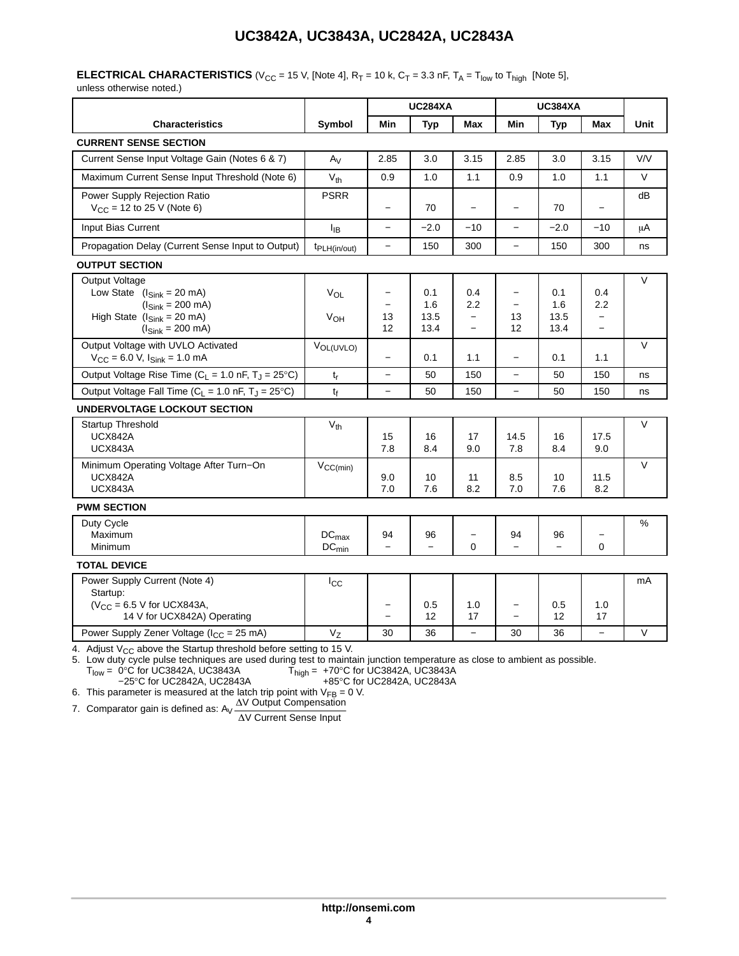#### **ELECTRICAL CHARACTERISTICS** (V<sub>CC</sub> = 15 V, [Note 4],  $R_T$  = 10 k,  $C_T$  = 3.3 nF,  $T_A$  =  $T_{low}$  to  $T_{high}$  [Note 5],

unless otherwise noted.)

|                                                                                                                                                                                                   |                                          | <b>UC284XA</b>                |                                |                                                      | <b>UC384XA</b>                |                                |                                                             |         |
|---------------------------------------------------------------------------------------------------------------------------------------------------------------------------------------------------|------------------------------------------|-------------------------------|--------------------------------|------------------------------------------------------|-------------------------------|--------------------------------|-------------------------------------------------------------|---------|
| <b>Characteristics</b>                                                                                                                                                                            | Symbol                                   | Min                           | <b>Typ</b>                     | Max                                                  | Min                           | <b>Typ</b>                     | Max                                                         | Unit    |
| <b>CURRENT SENSE SECTION</b>                                                                                                                                                                      |                                          |                               |                                |                                                      |                               |                                |                                                             |         |
| Current Sense Input Voltage Gain (Notes 6 & 7)                                                                                                                                                    | $A_V$                                    | 2.85                          | 3.0                            | 3.15                                                 | 2.85                          | 3.0                            | 3.15                                                        | V/V     |
| Maximum Current Sense Input Threshold (Note 6)                                                                                                                                                    | $V_{th}$                                 | 0.9                           | 1.0                            | 1.1                                                  | 0.9                           | 1.0                            | 1.1                                                         | $\vee$  |
| <b>Power Supply Rejection Ratio</b><br>$V_{CC}$ = 12 to 25 V (Note 6)                                                                                                                             | <b>PSRR</b>                              | $\qquad \qquad -$             | 70                             | $\overline{\phantom{0}}$                             | $\qquad \qquad -$             | 70                             |                                                             | dB      |
| Input Bias Current                                                                                                                                                                                | $I_{IB}$                                 |                               | $-2.0$                         | $-10$                                                |                               | $-2.0$                         | $-10$                                                       | $\mu$ A |
| Propagation Delay (Current Sense Input to Output)                                                                                                                                                 | t <sub>PLH(in/out)</sub>                 | $\equiv$                      | 150                            | 300                                                  | $\overline{\phantom{0}}$      | 150                            | 300                                                         | ns      |
| <b>OUTPUT SECTION</b>                                                                                                                                                                             |                                          |                               |                                |                                                      |                               |                                |                                                             |         |
| Output Voltage<br>Low State $(l_{\text{Sink}} = 20 \text{ mA})$<br>$(l_{\text{Sink}} = 200 \text{ mA})$<br>High State $(l_{\text{Sink}} = 20 \text{ mA})$<br>$(l_{\text{Sink}} = 200 \text{ mA})$ | $V_{OL}$<br>VOH                          | $\qquad \qquad -$<br>13<br>12 | 0.1<br>1.6<br>13.5<br>13.4     | 0.4<br>2.2<br>$\qquad \qquad -$<br>$\qquad \qquad -$ | $\qquad \qquad -$<br>13<br>12 | 0.1<br>1.6<br>13.5<br>13.4     | 0.4<br>2.2<br>$\qquad \qquad -$<br>$\overline{\phantom{0}}$ | V       |
| Output Voltage with UVLO Activated<br>$V_{CC}$ = 6.0 V, $I_{Sink}$ = 1.0 mA                                                                                                                       | V <sub>OL(UVLO)</sub>                    | $\equiv$                      | 0.1                            | 1.1                                                  | $\qquad \qquad -$             | 0.1                            | 1.1                                                         | $\vee$  |
| Output Voltage Rise Time ( $C_L = 1.0$ nF, $T_J = 25^{\circ}C$ )                                                                                                                                  | $t_r$                                    |                               | 50                             | 150                                                  |                               | 50                             | 150                                                         | ns      |
| Output Voltage Fall Time ( $C_L$ = 1.0 nF, $T_J$ = 25°C)                                                                                                                                          | tf                                       |                               | 50                             | 150                                                  | $\equiv$                      | 50                             | 150                                                         | ns      |
| <b>UNDERVOLTAGE LOCKOUT SECTION</b>                                                                                                                                                               |                                          |                               |                                |                                                      |                               |                                |                                                             |         |
| Startup Threshold<br><b>UCX842A</b><br><b>UCX843A</b>                                                                                                                                             | $V_{th}$                                 | 15<br>7.8                     | 16<br>8.4                      | 17<br>9.0                                            | 14.5<br>7.8                   | 16<br>8.4                      | 17.5<br>9.0                                                 | V       |
| Minimum Operating Voltage After Turn-On<br><b>UCX842A</b><br><b>UCX843A</b>                                                                                                                       | $V_{CC(min)}$                            | 9.0<br>7.0                    | 10<br>7.6                      | 11<br>8.2                                            | 8.5<br>7.0                    | 10<br>7.6                      | 11.5<br>8.2                                                 | $\vee$  |
| <b>PWM SECTION</b>                                                                                                                                                                                |                                          |                               |                                |                                                      |                               |                                |                                                             |         |
| Duty Cycle<br>Maximum<br>Minimum                                                                                                                                                                  | $\mathtt{DC}_{\text{max}}$<br>$DC_{min}$ | 94                            | 96<br>$\overline{\phantom{0}}$ | $\qquad \qquad -$<br>$\Omega$                        | 94                            | 96<br>$\overline{\phantom{0}}$ | $\Omega$                                                    | %       |
| <b>TOTAL DEVICE</b>                                                                                                                                                                               |                                          |                               |                                |                                                      |                               |                                |                                                             |         |
| Power Supply Current (Note 4)<br>Startup:<br>$(V_{CC} = 6.5 V$ for UCX843A,<br>14 V for UCX842A) Operating                                                                                        | $I_{\rm CC}$                             |                               | 0.5<br>12                      | 1.0<br>17                                            | $\qquad \qquad -$             | 0.5<br>12                      | 1.0<br>17                                                   | mA      |
| Power Supply Zener Voltage ( $I_{CC}$ = 25 mA)                                                                                                                                                    | $V_{Z}$                                  | 30                            | 36                             | $\overline{\phantom{0}}$                             | 30                            | 36                             |                                                             | $\vee$  |

4. Adjust  $V_{CC}$  above the Startup threshold before setting to 15 V.

5. Low duty cycle pulse techniques are used during test to maintain junction temperature as close to ambient as possible.

 $\rm T_{low}$ = 0°C for UC3842A, UC3843A  $\rm -25^{\circ}C$  for UC2842A, UC2842A, UC2842A, UC2842A, UC2843A  $\rm +85^{\circ}C$  for UC2842A, UC2843A

6. This parameter is measured at the latch trip point with  $V_{FB} = 0$  V.

7. Comparator gain is defined as:  $A_V \frac{\Delta V}{\Delta V}$  Output Compensation V Current Sense Input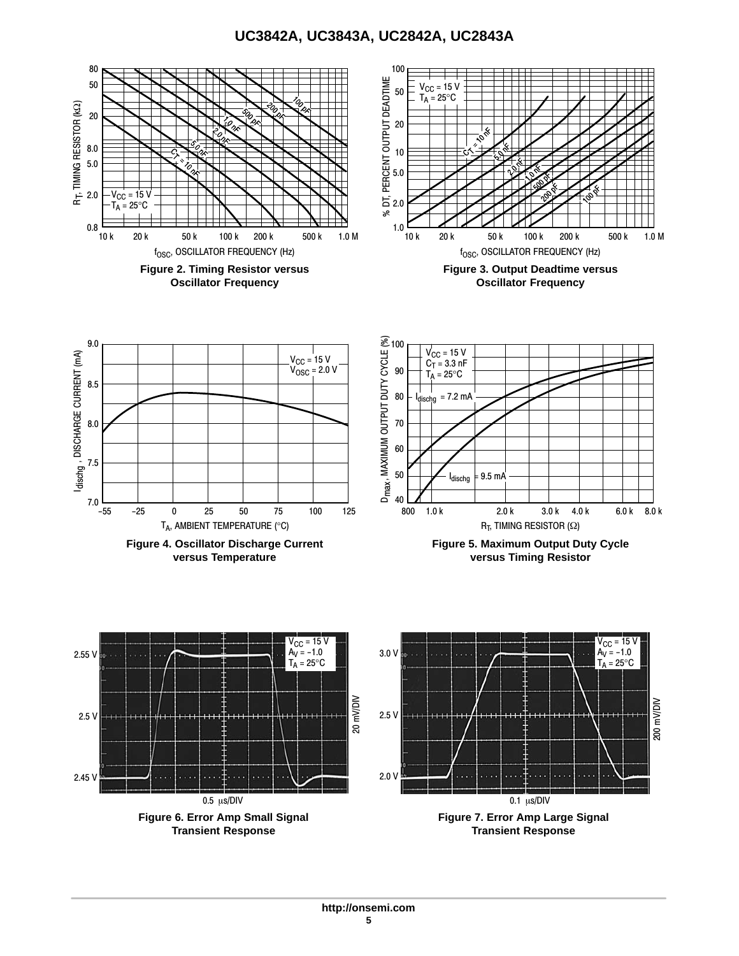<span id="page-4-0"></span>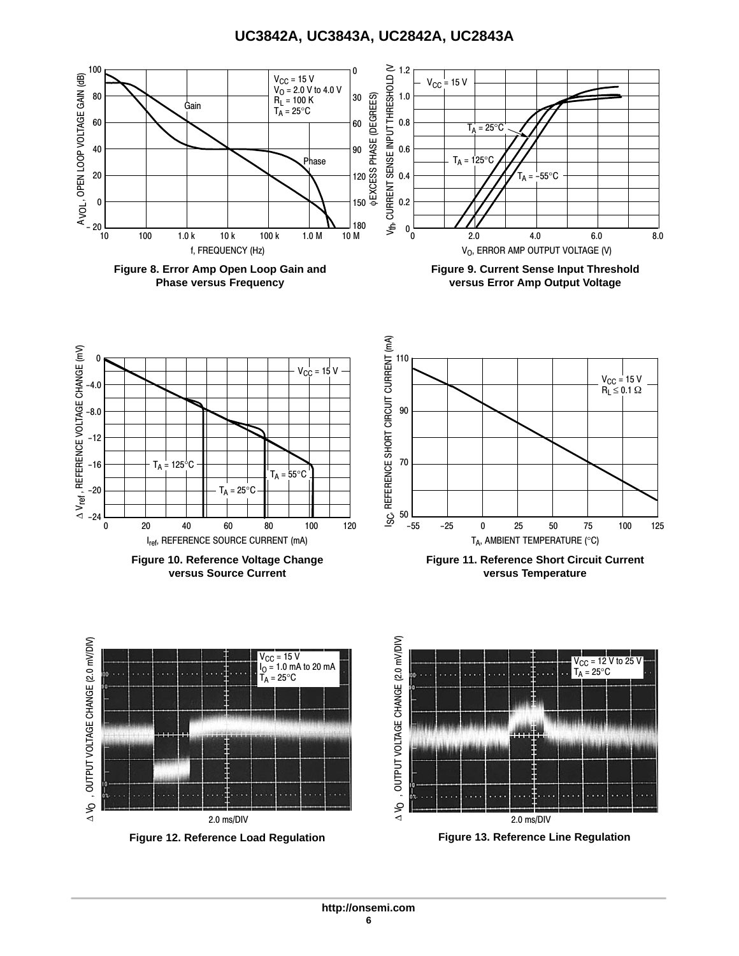<span id="page-5-0"></span>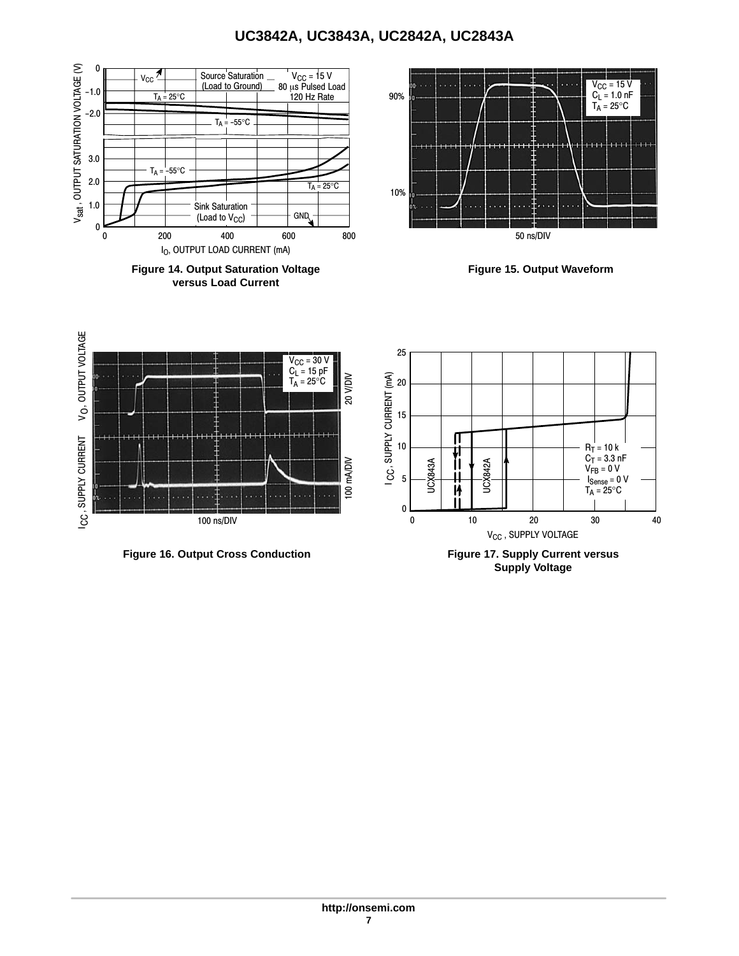

**Figure 14. Output Saturation Voltage versus Load Current**



**Figure 15. Output Waveform**



**Supply Voltage**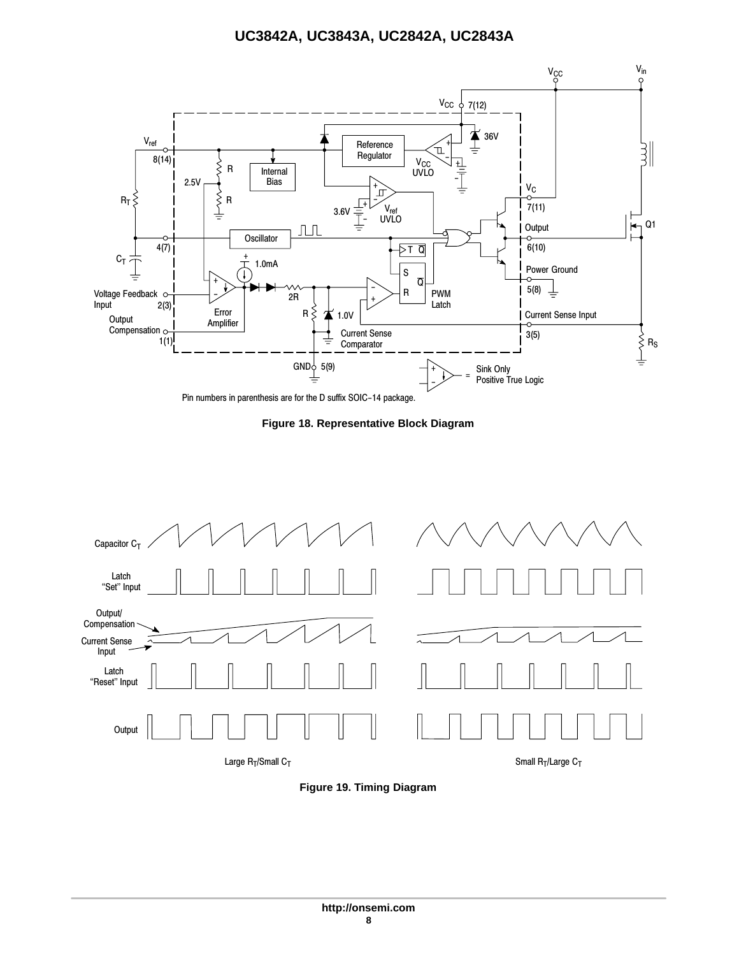<span id="page-7-0"></span>

Pin numbers in parenthesis are for the D suffix SOIC−14 package.

**Figure 18. Representative Block Diagram**



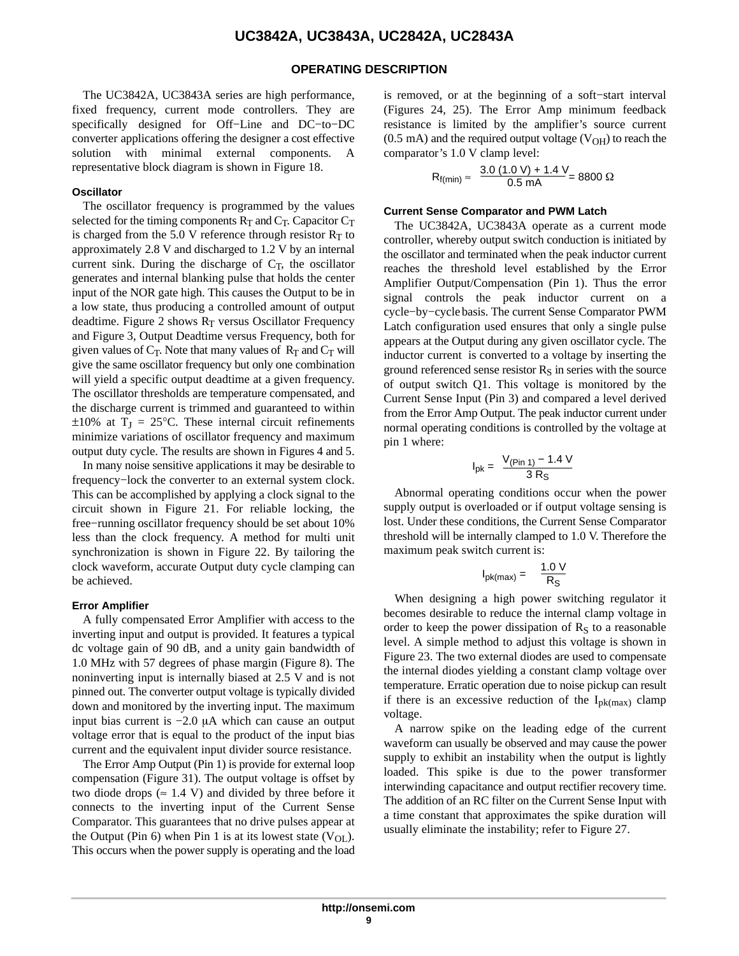#### **OPERATING DESCRIPTION**

The UC3842A, UC3843A series are high performance, fixed frequency, current mode controllers. They are specifically designed for Off−Line and DC−to−DC converter applications offering the designer a cost effective solution with minimal external components. A representative block diagram is shown in Figure [18.](#page-7-0)

#### **Oscillator**

The oscillator frequency is programmed by the values selected for the timing components  $R_T$  and  $C_T$ . Capacitor  $C_T$ is charged from the 5.0 V reference through resistor  $R_T$  to approximately 2.8 V and discharged to 1.2 V by an internal current sink. During the discharge of  $C_T$ , the oscillator generates and internal blanking pulse that holds the center input of the NOR gate high. This causes the Output to be in a low state, thus producing a controlled amount of output deadtime. Figure [2](#page-4-0) shows  $R_T$  versus Oscillator Frequency and Figure [3,](#page-4-0) Output Deadtime versus Frequency, both for given values of  $C_T$ . Note that many values of  $R_T$  and  $C_T$  will give the same oscillator frequency but only one combination will yield a specific output deadtime at a given frequency. The oscillator thresholds are temperature compensated, and the discharge current is trimmed and guaranteed to within  $\pm 10\%$  at T<sub>J</sub> = 25°C. These internal circuit refinements minimize variations of oscillator frequency and maximum output duty cycle. The results are shown in Figures [4](#page-4-0) and [5](#page-4-0).

In many noise sensitive applications it may be desirable to frequency−lock the converter to an external system clock. This can be accomplished by applying a clock signal to the circuit shown in Figure [21](#page-11-0). For reliable locking, the free−running oscillator frequency should be set about 10% less than the clock frequency. A method for multi unit synchronization is shown in Figure [22](#page-11-0). By tailoring the clock waveform, accurate Output duty cycle clamping can be achieved.

#### **Error Amplifier**

A fully compensated Error Amplifier with access to the inverting input and output is provided. It features a typical dc voltage gain of 90 dB, and a unity gain bandwidth of 1.0 MHz with 57 degrees of phase margin (Figure [8\)](#page-5-0). The noninverting input is internally biased at 2.5 V and is not pinned out. The converter output voltage is typically divided down and monitored by the inverting input. The maximum input bias current is -2.0 µA which can cause an output voltage error that is equal to the product of the input bias current and the equivalent input divider source resistance.

The Error Amp Output (Pin 1) is provide for external loop compensation (Figure [31\)](#page-12-0). The output voltage is offset by two diode drops ( $\approx 1.4$  V) and divided by three before it connects to the inverting input of the Current Sense Comparator. This guarantees that no drive pulses appear at the Output (Pin 6) when Pin 1 is at its lowest state  $(V_{OL})$ . This occurs when the power supply is operating and the load is removed, or at the beginning of a soft−start interval (Figures [24](#page-11-0), [25\)](#page-11-0). The Error Amp minimum feedback resistance is limited by the amplifier's source current  $(0.5 \text{ mA})$  and the required output voltage  $(\text{V}_{OH})$  to reach the comparator's 1.0 V clamp level:

$$
R_{f(min)} \approx \frac{3.0 (1.0 V) + 1.4 V}{0.5 mA} = 8800 \Omega
$$

#### **Current Sense Comparator and PWM Latch**

The UC3842A, UC3843A operate as a current mode controller, whereby output switch conduction is initiated by the oscillator and terminated when the peak inductor current reaches the threshold level established by the Error Amplifier Output/Compensation (Pin 1). Thus the error signal controls the peak inductor current on a cycle−by−cycle basis. The current Sense Comparator PWM Latch configuration used ensures that only a single pulse appears at the Output during any given oscillator cycle. The inductor current is converted to a voltage by inserting the ground referenced sense resistor  $R<sub>S</sub>$  in series with the source of output switch Q1. This voltage is monitored by the Current Sense Input (Pin 3) and compared a level derived from the Error Amp Output. The peak inductor current under normal operating conditions is controlled by the voltage at pin 1 where:

$$
I_{pk} = \frac{V_{(Pin\ 1)} - 1.4\ V}{3\ R_{S}}
$$

Abnormal operating conditions occur when the power supply output is overloaded or if output voltage sensing is lost. Under these conditions, the Current Sense Comparator threshold will be internally clamped to 1.0 V. Therefore the maximum peak switch current is:

$$
I_{\rm pk(max)} = \frac{1.0 \text{ V}}{R_{\rm S}}
$$

When designing a high power switching regulator it becomes desirable to reduce the internal clamp voltage in order to keep the power dissipation of  $R<sub>S</sub>$  to a reasonable level. A simple method to adjust this voltage is shown in Figure [23.](#page-11-0) The two external diodes are used to compensate the internal diodes yielding a constant clamp voltage over temperature. Erratic operation due to noise pickup can result if there is an excessive reduction of the  $I_{\text{pk(max)}}$  clamp voltage.

A narrow spike on the leading edge of the current waveform can usually be observed and may cause the power supply to exhibit an instability when the output is lightly loaded. This spike is due to the power transformer interwinding capacitance and output rectifier recovery time. The addition of an RC filter on the Current Sense Input with a time constant that approximates the spike duration will usually eliminate the instability; refer to Figure [27.](#page-12-0)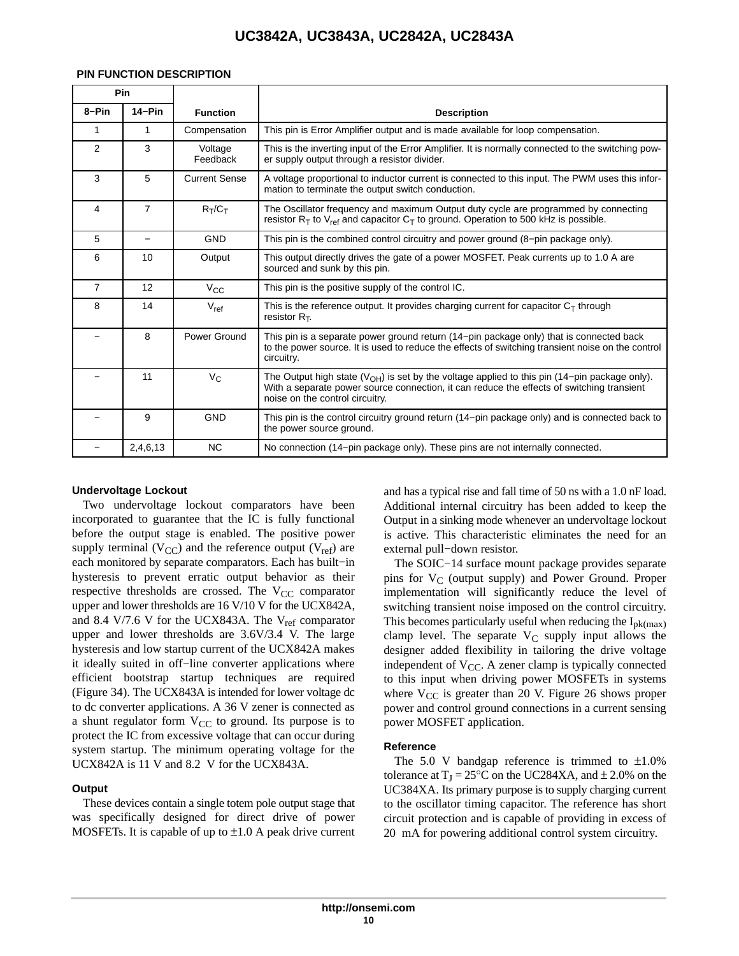| Pin            |                |                      |                                                                                                                                                                                                                                |
|----------------|----------------|----------------------|--------------------------------------------------------------------------------------------------------------------------------------------------------------------------------------------------------------------------------|
| 8-Pin          | $14-Pin$       | <b>Function</b>      | <b>Description</b>                                                                                                                                                                                                             |
| 1              | 1              | Compensation         | This pin is Error Amplifier output and is made available for loop compensation.                                                                                                                                                |
| 2              | 3              | Voltage<br>Feedback  | This is the inverting input of the Error Amplifier. It is normally connected to the switching pow-<br>er supply output through a resistor divider.                                                                             |
| 3              | 5              | <b>Current Sense</b> | A voltage proportional to inductor current is connected to this input. The PWM uses this infor-<br>mation to terminate the output switch conduction.                                                                           |
| 4              | $\overline{7}$ | $R_T/C_T$            | The Oscillator frequency and maximum Output duty cycle are programmed by connecting<br>resistor $R_T$ to V <sub>ref</sub> and capacitor C <sub>T</sub> to ground. Operation to 500 kHz is possible.                            |
| 5              |                | <b>GND</b>           | This pin is the combined control circuitry and power ground (8-pin package only).                                                                                                                                              |
| 6              | 10             | Output               | This output directly drives the gate of a power MOSFET. Peak currents up to 1.0 A are<br>sourced and sunk by this pin.                                                                                                         |
| $\overline{7}$ | 12             | $V_{\rm CC}$         | This pin is the positive supply of the control IC.                                                                                                                                                                             |
| 8              | 14             | $V_{ref}$            | This is the reference output. It provides charging current for capacitor $C_T$ through<br>resistor $R_T$ .                                                                                                                     |
|                | 8              | Power Ground         | This pin is a separate power ground return (14–pin package only) that is connected back<br>to the power source. It is used to reduce the effects of switching transient noise on the control<br>circuitry.                     |
|                | 11             | $V_C$                | The Output high state $(VOH)$ is set by the voltage applied to this pin (14–pin package only).<br>With a separate power source connection, it can reduce the effects of switching transient<br>noise on the control circuitry. |
|                | 9              | <b>GND</b>           | This pin is the control circuitry ground return (14-pin package only) and is connected back to<br>the power source ground.                                                                                                     |
|                | 2,4,6,13       | <b>NC</b>            | No connection (14-pin package only). These pins are not internally connected.                                                                                                                                                  |

#### **PIN FUNCTION DESCRIPTION**

#### **Undervoltage Lockout**

Two undervoltage lockout comparators have been incorporated to guarantee that the IC is fully functional before the output stage is enabled. The positive power supply terminal  $(V_{CC})$  and the reference output  $(V_{ref})$  are each monitored by separate comparators. Each has built−in hysteresis to prevent erratic output behavior as their respective thresholds are crossed. The  $V_{CC}$  comparator upper and lower thresholds are 16 V/10 V for the UCX842A, and 8.4 V/7.6 V for the UCX843A. The  $V_{ref}$  comparator upper and lower thresholds are 3.6V/3.4 V. The large hysteresis and low startup current of the UCX842A makes it ideally suited in off−line converter applications where efficient bootstrap startup techniques are required (Figure [34\)](#page-13-0). The UCX843A is intended for lower voltage dc to dc converter applications. A 36 V zener is connected as a shunt regulator form  $V_{CC}$  to ground. Its purpose is to protect the IC from excessive voltage that can occur during system startup. The minimum operating voltage for the UCX842A is 11 V and 8.2 V for the UCX843A.

#### **Output**

These devices contain a single totem pole output stage that was specifically designed for direct drive of power MOSFETs. It is capable of up to  $\pm 1.0$  A peak drive current and has a typical rise and fall time of 50 ns with a 1.0 nF load. Additional internal circuitry has been added to keep the Output in a sinking mode whenever an undervoltage lockout is active. This characteristic eliminates the need for an external pull−down resistor.

The SOIC−14 surface mount package provides separate pins for  $V_C$  (output supply) and Power Ground. Proper implementation will significantly reduce the level of switching transient noise imposed on the control circuitry. This becomes particularly useful when reducing the  $I_{pk(max)}$ clamp level. The separate  $V_C$  supply input allows the designer added flexibility in tailoring the drive voltage independent of  $V_{CC}$ . A zener clamp is typically connected to this input when driving power MOSFETs in systems where  $V_{CC}$  is greater than 20 V. Figure [26](#page-11-0) shows proper power and control ground connections in a current sensing power MOSFET application.

#### **Reference**

The 5.0 V bandgap reference is trimmed to  $\pm 1.0\%$ tolerance at  $T_J = 25^{\circ}C$  on the UC284XA, and  $\pm$  2.0% on the UC384XA. Its primary purpose is to supply charging current to the oscillator timing capacitor. The reference has short circuit protection and is capable of providing in excess of 20 mA for powering additional control system circuitry.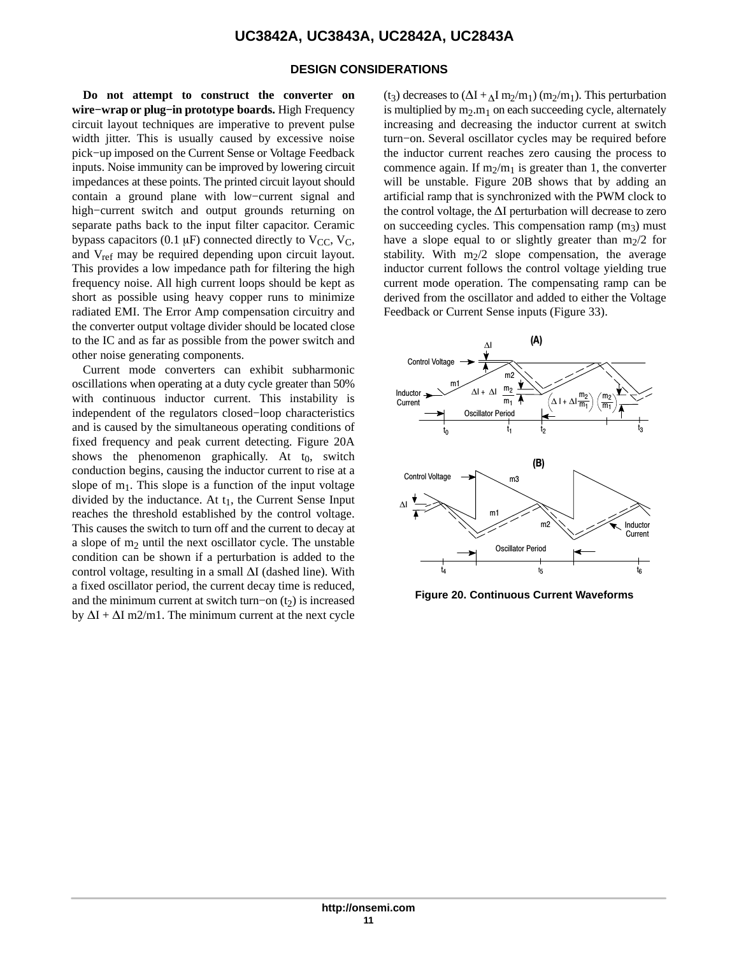#### **DESIGN CONSIDERATIONS**

**Do not attempt to construct the converter on wire−wrap or plug−in prototype boards.** High Frequency circuit layout techniques are imperative to prevent pulse width jitter. This is usually caused by excessive noise pick−up imposed on the Current Sense or Voltage Feedback inputs. Noise immunity can be improved by lowering circuit impedances at these points. The printed circuit layout should contain a ground plane with low−current signal and high−current switch and output grounds returning on separate paths back to the input filter capacitor. Ceramic bypass capacitors (0.1  $\mu$ F) connected directly to V<sub>CC</sub>, V<sub>C</sub>, and V<sub>ref</sub> may be required depending upon circuit layout. This provides a low impedance path for filtering the high frequency noise. All high current loops should be kept as short as possible using heavy copper runs to minimize radiated EMI. The Error Amp compensation circuitry and the converter output voltage divider should be located close to the IC and as far as possible from the power switch and other noise generating components.

Current mode converters can exhibit subharmonic oscillations when operating at a duty cycle greater than 50% with continuous inductor current. This instability is independent of the regulators closed−loop characteristics and is caused by the simultaneous operating conditions of fixed frequency and peak current detecting. Figure 20A shows the phenomenon graphically. At  $t_0$ , switch conduction begins, causing the inductor current to rise at a slope of  $m_1$ . This slope is a function of the input voltage divided by the inductance. At  $t_1$ , the Current Sense Input reaches the threshold established by the control voltage. This causes the switch to turn off and the current to decay at a slope of  $m_2$  until the next oscillator cycle. The unstable condition can be shown if a perturbation is added to the control voltage, resulting in a small  $\Delta I$  (dashed line). With a fixed oscillator period, the current decay time is reduced, and the minimum current at switch turn–on  $(t<sub>2</sub>)$  is increased by  $\Delta I + \Delta I$  m2/m1. The minimum current at the next cycle (t<sub>3</sub>) decreases to  $(\Delta I + \Delta I \text{ m}/m_1)$  (m<sub>2</sub>/m<sub>1</sub>). This perturbation is multiplied by  $m_2.m_1$  on each succeeding cycle, alternately increasing and decreasing the inductor current at switch turn−on. Several oscillator cycles may be required before the inductor current reaches zero causing the process to commence again. If  $m_2/m_1$  is greater than 1, the converter will be unstable. Figure 20B shows that by adding an artificial ramp that is synchronized with the PWM clock to the control voltage, the  $\Delta I$  perturbation will decrease to zero on succeeding cycles. This compensation ramp  $(m<sub>3</sub>)$  must have a slope equal to or slightly greater than  $m_2/2$  for stability. With  $m_2/2$  slope compensation, the average inductor current follows the control voltage yielding true current mode operation. The compensating ramp can be derived from the oscillator and added to either the Voltage Feedback or Current Sense inputs (Figure [33\)](#page-13-0).



**Figure 20. Continuous Current Waveforms**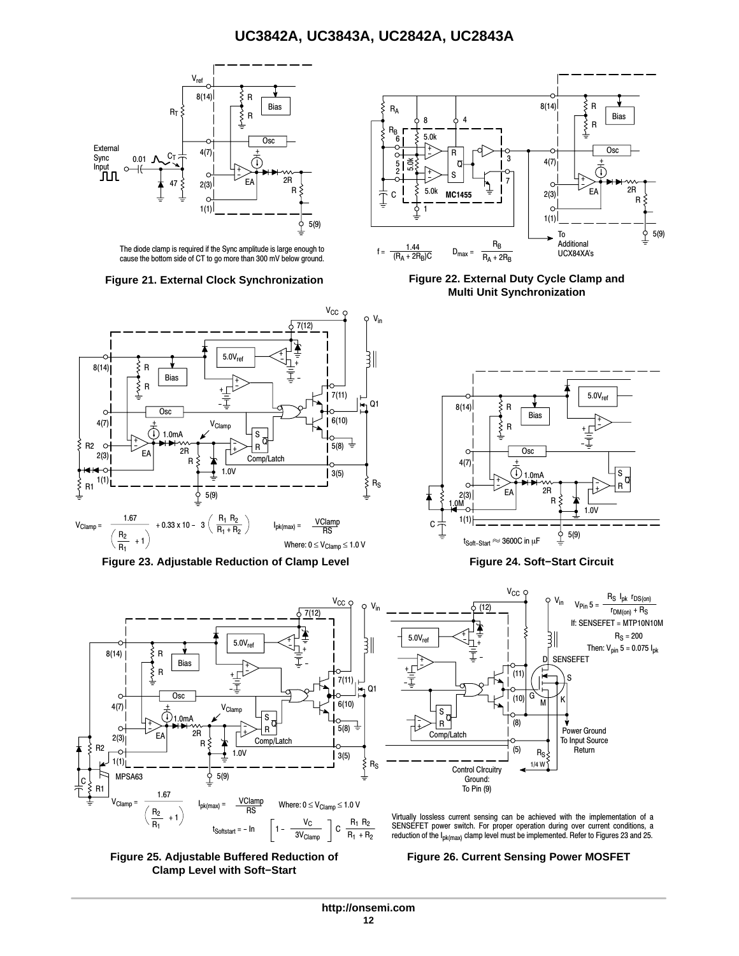<span id="page-11-0"></span>

The diode clamp is required if the Sync amplitude is large enough to cause the bottom side of CT to go more than 300 mV below ground.





**Figure 23. Adjustable Reduction of Clamp Level Figure 24. Soft−Start Circuit**







**Figure 21. External Clock Synchronization Figure 22. External Duty Cycle Clamp and Multi Unit Synchronization**





Virtually lossless current sensing can be achieved with the implementation of a SENSEFET power switch. For proper operation during over current conditions, a reduction of the Ipk(max) clamp level must be implemented. Refer to Figures 23 and 25.

#### **Figure 26. Current Sensing Power MOSFET**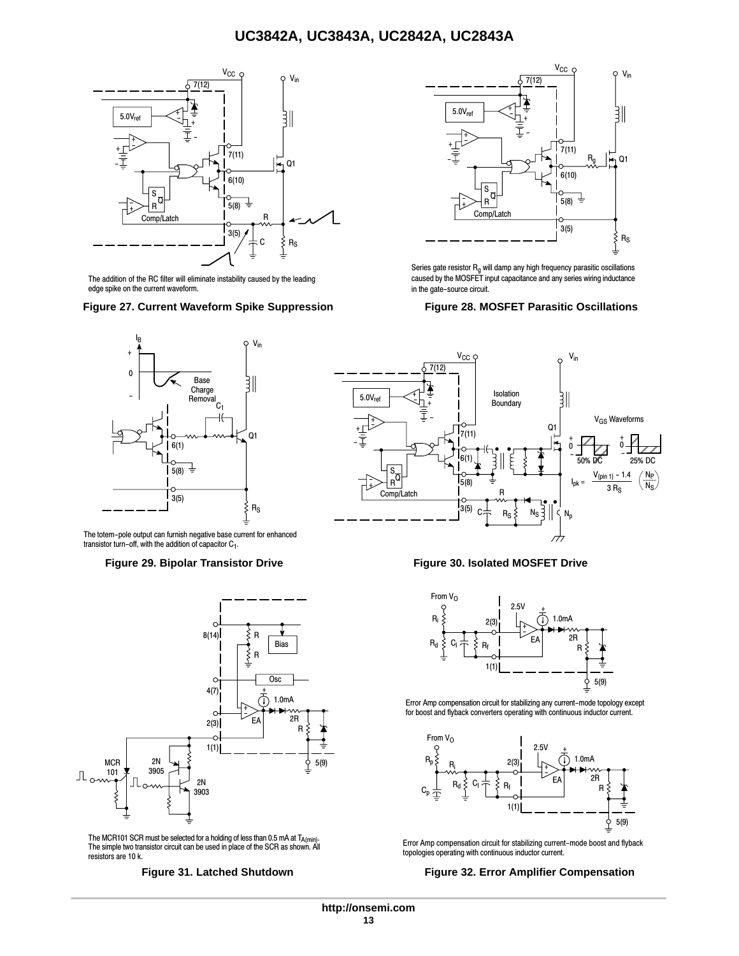<span id="page-12-0"></span>

The addition of the RC filter will eliminate instability caused by the leading edge spike on the current waveform.

### **Figure 27. Current Waveform Spike Suppression Figure 28. MOSFET Parasitic Oscillations**



The totem−pole output can furnish negative base current for enhanced transistor turn−off, with the addition of capacitor C1.

#### **Figure 29. Bipolar Transistor Drive Figure 30. Isolated MOSFET Drive**



The MCR101 SCR must be selected for a holding of less than 0.5 mA at T<sub>A(min)</sub>.<br>The simple two transistor circuit can be used in place of the SCR as shown. All resistors are 10 k.



Series gate resistor  $R_q$  will damp any high frequency parasitic oscillations caused by the MOSFET input capacitance and any series wiring inductance in the gate−source circuit.





Error Amp compensation circuit for stabilizing any current−mode topology except for boost and flyback converters operating with continuous inductor current.



Error Amp compensation circuit for stabilizing current−mode boost and flyback topologies operating with continuous inductor current.

#### **Figure 31. Latched Shutdown Figure 32. Error Amplifier Compensation**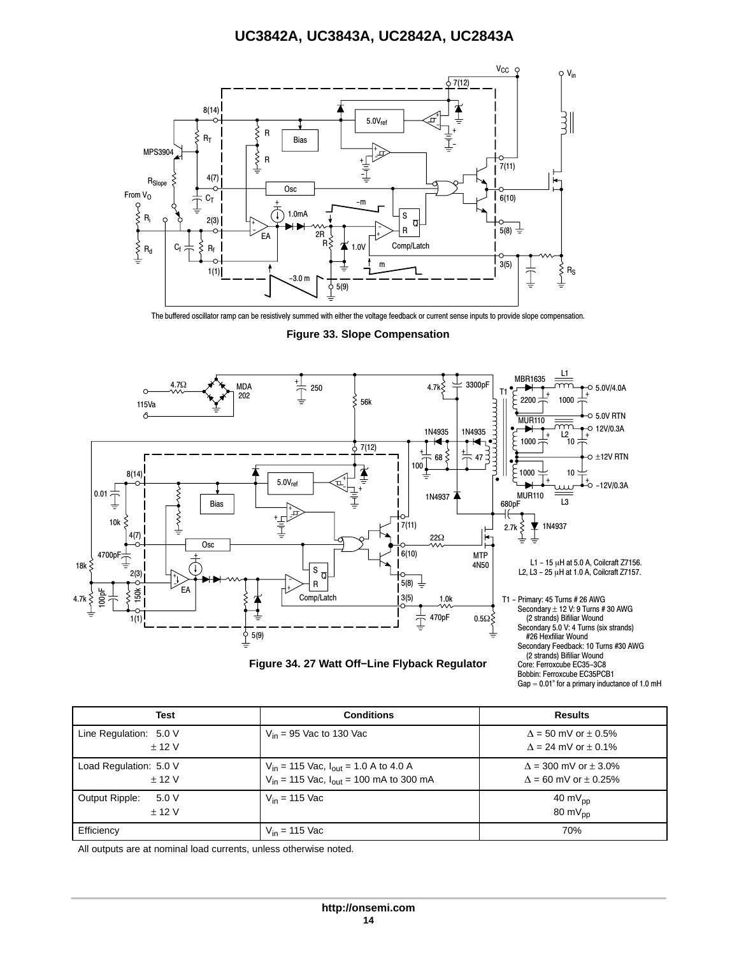<span id="page-13-0"></span>

The buffered oscillator ramp can be resistively summed with either the voltage feedback or current sense inputs to provide slope compensation.

**Figure 33. Slope Compensation**



**Figure 34. 27 Watt Off−Line Flyback Regulator**

Bobbin: Ferroxcube EC35PCB1 Gap  $\approx$  0.01" for a primary inductance of 1.0 mH

| <b>Test</b>                      | <b>Conditions</b>                                                                                  | <b>Results</b>                                                      |
|----------------------------------|----------------------------------------------------------------------------------------------------|---------------------------------------------------------------------|
| Line Regulation: 5.0 V<br>± 12 V | $V_{in}$ = 95 Vac to 130 Vac                                                                       | $\Delta$ = 50 mV or $\pm$ 0.5%<br>$\Lambda = 24$ mV or $\pm$ 0.1%   |
| Load Regulation: 5.0 V<br>± 12 V | $V_{in}$ = 115 Vac, $I_{out}$ = 1.0 A to 4.0 A<br>$V_{in}$ = 115 Vac, $I_{out}$ = 100 mA to 300 mA | $\Delta$ = 300 mV or $\pm$ 3.0%<br>$\Lambda$ = 60 mV or $\pm$ 0.25% |
| Output Ripple:<br>5.0V<br>± 12 V | $V_{in}$ = 115 Vac                                                                                 | 40 m $V_{\text{pp}}$<br>80 m $V_{\text{DD}}$                        |
| Efficiency                       | $V_{in}$ = 115 Vac                                                                                 | 70%                                                                 |

All outputs are at nominal load currents, unless otherwise noted.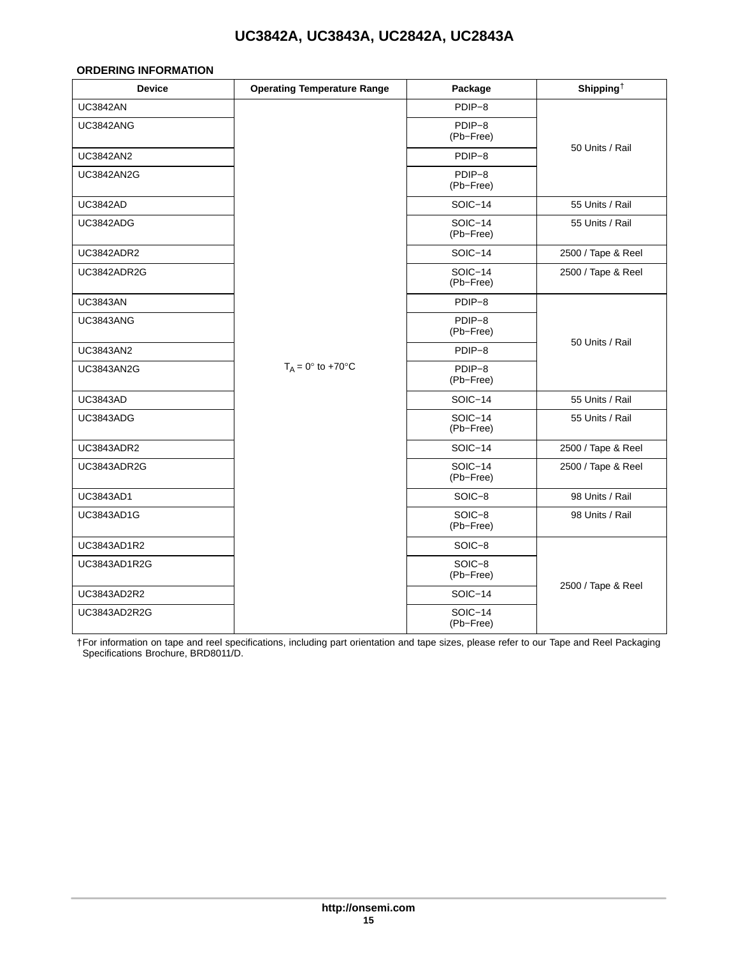#### <span id="page-14-0"></span>**ORDERING INFORMATION**

| <b>Device</b>     | <b>Operating Temperature Range</b> | Package                     | Shipping <sup><math>\dagger</math></sup> |
|-------------------|------------------------------------|-----------------------------|------------------------------------------|
| <b>UC3842AN</b>   |                                    | PDIP-8                      |                                          |
| <b>UC3842ANG</b>  |                                    | PDIP-8<br>(Pb-Free)         |                                          |
| <b>UC3842AN2</b>  |                                    | PDIP-8                      | 50 Units / Rail                          |
| <b>UC3842AN2G</b> |                                    | PDIP-8<br>(Pb-Free)         |                                          |
| <b>UC3842AD</b>   |                                    | SOIC-14                     | 55 Units / Rail                          |
| UC3842ADG         |                                    | SOIC-14<br>(Pb-Free)        | 55 Units / Rail                          |
| <b>UC3842ADR2</b> |                                    | SOIC-14                     | 2500 / Tape & Reel                       |
| UC3842ADR2G       |                                    | SOIC-14<br>(Pb-Free)        | 2500 / Tape & Reel                       |
| <b>UC3843AN</b>   |                                    | PDIP-8                      |                                          |
| <b>UC3843ANG</b>  |                                    | PDIP-8<br>(Pb-Free)         |                                          |
| <b>UC3843AN2</b>  |                                    | PDIP-8                      | 50 Units / Rail                          |
| <b>UC3843AN2G</b> | $T_A = 0^\circ$ to +70 $^\circ$ C  | PDIP-8<br>(Pb-Free)         |                                          |
| <b>UC3843AD</b>   |                                    | SOIC-14                     | 55 Units / Rail                          |
| UC3843ADG         |                                    | $SOIC-14$<br>(Pb-Free)      | 55 Units / Rail                          |
| UC3843ADR2        |                                    | SOIC-14                     | 2500 / Tape & Reel                       |
| UC3843ADR2G       |                                    | <b>SOIC-14</b><br>(Pb-Free) | 2500 / Tape & Reel                       |
| <b>UC3843AD1</b>  |                                    | SOIC-8                      | 98 Units / Rail                          |
| <b>UC3843AD1G</b> |                                    | $SOIC-8$<br>(Pb-Free)       | 98 Units / Rail                          |
| UC3843AD1R2       |                                    | SOIC-8                      |                                          |
| UC3843AD1R2G      |                                    | SOIC-8<br>(Pb-Free)         |                                          |
| UC3843AD2R2       |                                    | SOIC-14                     | 2500 / Tape & Reel                       |
| UC3843AD2R2G      |                                    | SOIC-14<br>(Pb-Free)        |                                          |

†For information on tape and reel specifications, including part orientation and tape sizes, please refer to our Tape and Reel Packaging Specifications Brochure, BRD8011/D.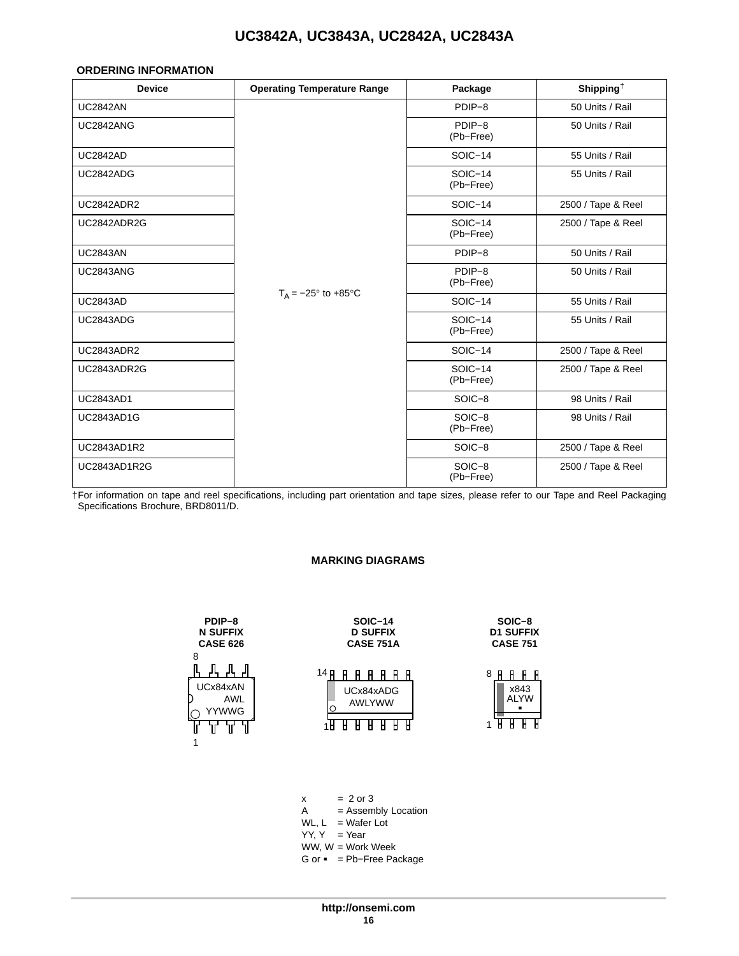#### <span id="page-15-0"></span>**ORDERING INFORMATION**

| <b>Device</b>     | <b>Operating Temperature Range</b> | Package              | Shipping <sup>†</sup> |
|-------------------|------------------------------------|----------------------|-----------------------|
| <b>UC2842AN</b>   |                                    | PDIP-8               | 50 Units / Rail       |
| <b>UC2842ANG</b>  |                                    | PDIP-8<br>(Pb-Free)  | 50 Units / Rail       |
| <b>UC2842AD</b>   |                                    | $SOIC-14$            | 55 Units / Rail       |
| UC2842ADG         |                                    | SOIC-14<br>(Pb-Free) | 55 Units / Rail       |
| <b>UC2842ADR2</b> |                                    | SOIC-14              | 2500 / Tape & Reel    |
| UC2842ADR2G       |                                    | SOIC-14<br>(Pb-Free) | 2500 / Tape & Reel    |
| <b>UC2843AN</b>   |                                    | PDIP-8               | 50 Units / Rail       |
| <b>UC2843ANG</b>  |                                    | PDIP-8<br>(Pb-Free)  | 50 Units / Rail       |
| <b>UC2843AD</b>   | $T_A = -25^\circ$ to +85 $\circ$ C | SOIC-14              | 55 Units / Rail       |
| <b>UC2843ADG</b>  |                                    | SOIC-14<br>(Pb-Free) | 55 Units / Rail       |
| <b>UC2843ADR2</b> |                                    | SOIC-14              | 2500 / Tape & Reel    |
| UC2843ADR2G       |                                    | SOIC-14<br>(Pb-Free) | 2500 / Tape & Reel    |
| <b>UC2843AD1</b>  |                                    | SOIC-8               | 98 Units / Rail       |
| <b>UC2843AD1G</b> |                                    | SOIC-8<br>(Pb-Free)  | 98 Units / Rail       |
| UC2843AD1R2       |                                    | SOIC-8               | 2500 / Tape & Reel    |
| UC2843AD1R2G      |                                    | SOIC-8<br>(Pb-Free)  | 2500 / Tape & Reel    |

†For information on tape and reel specifications, including part orientation and tape sizes, please refer to our Tape and Reel Packaging Specifications Brochure, BRD8011/D.

#### **MARKING DIAGRAMS**

| PDIP-8<br><b>N SUFFIX</b><br><b>CASE 626</b>     | <b>SOIC-14</b><br><b>D SUFFIX</b><br><b>CASE 751A</b>                      | SOIC-8<br><b>D1 SUFFIX</b><br><b>CASE 751</b>               |
|--------------------------------------------------|----------------------------------------------------------------------------|-------------------------------------------------------------|
| 8<br>UCx84xAN<br><b>AWL</b><br><b>YYWWG</b><br>1 | 14 p<br>H<br>UCx84xADG<br><b>AWLYWW</b><br>Н<br>H<br>Н<br>H<br>H<br>н<br>н | 8<br>H<br>н<br>x843<br><b>ALYW</b><br>H<br>1<br>Н<br>Н<br>н |
|                                                  |                                                                            |                                                             |

 $x = 2 \text{ or } 3$ <br>A = Assem = Assembly Location  $WL$ ,  $L = W$ afer Lot YY, Y = Year WW, W = Work Week G or - = Pb−Free Package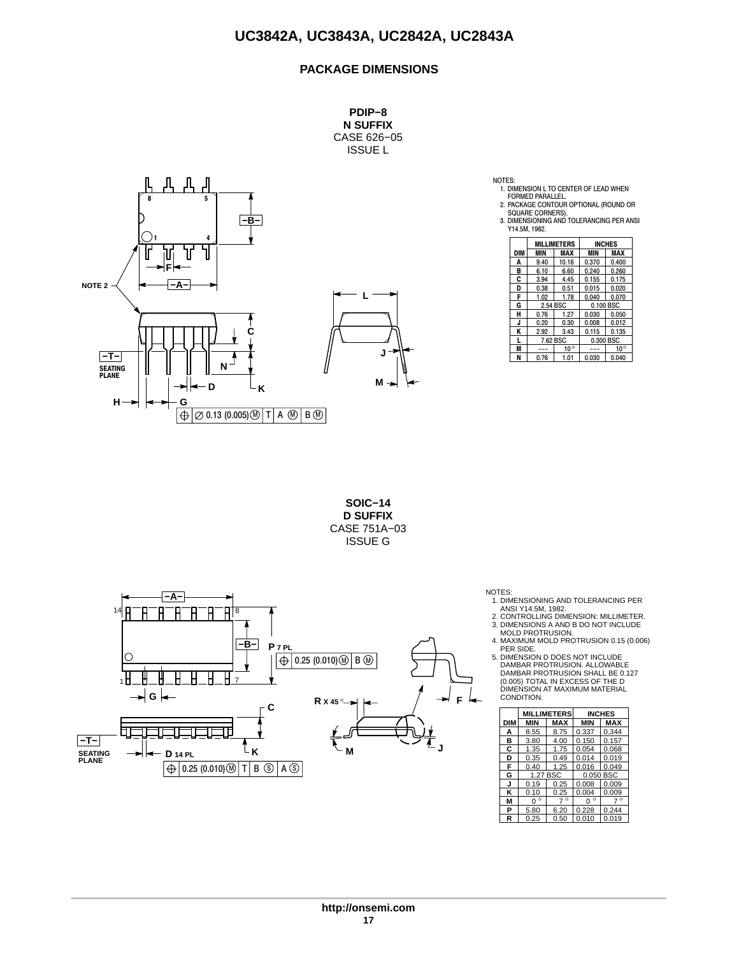### **PACKAGE DIMENSIONS**

**PDIP−8 N SUFFIX** CASE 626−05 ISSUE L



NOTES:

1. DIMENSION L TO CENTER OF LEAD WHEN FORMED PARALLEL.

2. PACKAGE CONTOUR OPTIONAL (ROUND OR

SQUARE CORNERS). 3. DIMENSIONING AND TOLERANCING PER ANSI Y14.5M, 1982.

|     |            | <b>MILLIMETERS</b> | <b>INCHES</b> |              |  |
|-----|------------|--------------------|---------------|--------------|--|
| DIM | <b>MIN</b> | MAX                | <b>MIN</b>    | <b>MAX</b>   |  |
| Α   | 9.40       | 10.16              | 0.370         | 0.400        |  |
| в   | 6.10       | 6.60               | 0.240         | 0.260        |  |
| C   | 3.94       | 4.45               | 0.155         | 0.175        |  |
| D   | 0.38       | 0.51               | 0.015         | 0.020        |  |
| F   | 1.02       | 1.78               | 0.040         | 0.070        |  |
| G   | 2.54 BSC   |                    | 0.100 BSC     |              |  |
| н   | 0.76       | 1.27               | 0.030         | 0.050        |  |
| J   | 0.20       | 0.30               | 0.008         | 0.012        |  |
| κ   | 2.92       | 3.43               | 0.115         | 0.135        |  |
|     | 7.62 BSC   |                    |               | 0.300 BSC    |  |
| M   |            | $10^{\circ}$       |               | $10^{\circ}$ |  |
| N   | 0.76       | 1.01               | 0.030         | 0.040        |  |

**SOIC−14 D SUFFIX** CASE 751A−03 ISSUE G



- NOTES: 1. DIMENSIONING AND TOLERANCING PER
- ANSI Y14.5M, 1982.<br>2. CONTROLLING DIMENSION: MILLIMETER.<br>3. DIMENSIONS A AND B DO NOT INCLUDE<br>MOLD PROTRUSION.<br>4. MAXIMUM MOLD PROTRUSION 0.15 (0.006)

PER SIDE. 5. DIMENSION D DOES NOT INCLUDE DAMBAR PROTRUSION. ALLOWABLE DAMBAR PROTRUSION SHALL BE 0.127 (0.005) TOTAL IN EXCESS OF THE D DIMENSION AT MAXIMUM MATERIAL CONDITION.

|     |              | <b>MILLIMETERS</b> |              | <b>INCHES</b> |
|-----|--------------|--------------------|--------------|---------------|
| DIM | MIN          | <b>MAX</b>         | MIN          | <b>MAX</b>    |
| А   | 8.55         | 8.75               | 0.337        | 0.344         |
| в   | 3.80         | 4.00               | 0.150        | 0.157         |
| С   | 1.35         | 1.75               | 0.054        | 0.068         |
| D   | 0.35         | 0.49               | 0.014        | 0.019         |
| F   | 0.40         | 1.25               | 0.016        | 0.049         |
| G   |              | 1.27 BSC           | 0.050 BSC    |               |
| J   | 0.19         | 0.25               | 0.008        | 0.009         |
| κ   | 0.10         | 0.25               | 0.004        | 0.009         |
| М   | $\circ$<br>O | $\circ$            | $\circ$<br>n | $\circ$       |
| P   | 5.80         | 6.20               | 0.228        | 0.244         |
| R   | 0.25         | 0.50               | 0.010        | 0.019         |